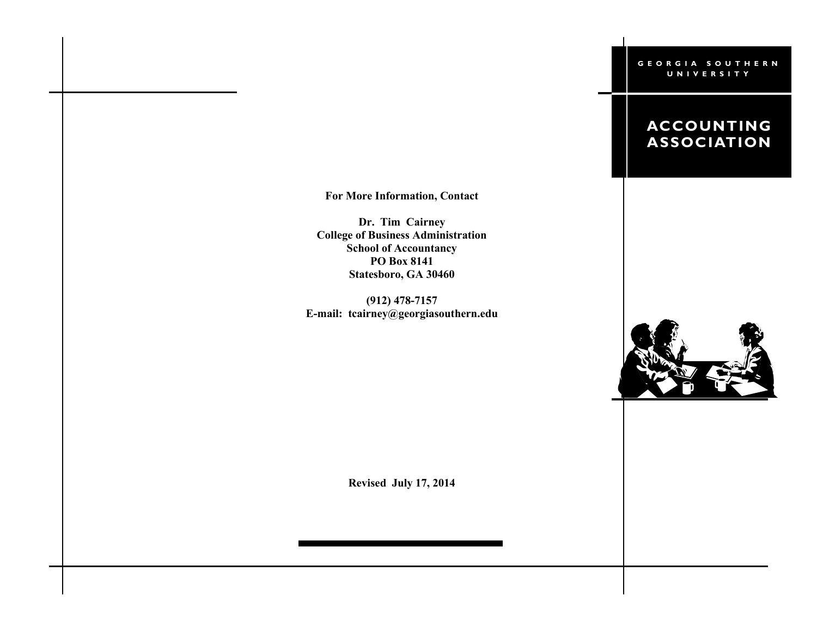#### **G E O R G I A S O U T H E R N U N I V E R S I T Y**

# **ACCOUNTING ASSOCIATION**

**For More Information, Contact**

**Dr. Tim Cairney College of Business Administration School of Accountancy PO Box 8141 Statesboro, GA 30460**

**(912) 478-7157 E-mail: tcairney@georgiasouthern.edu**



**Revised July 17, 2014**